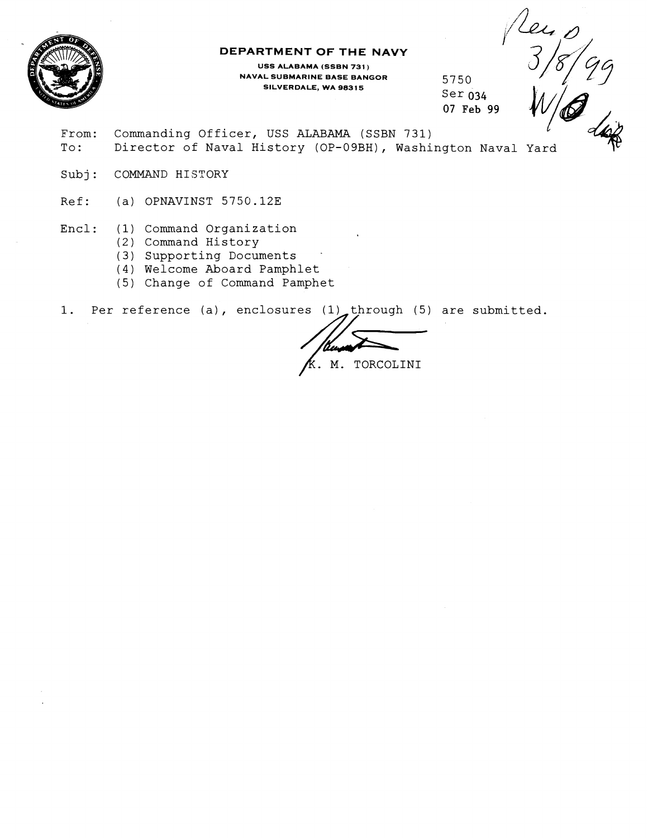

### **DEPARTMENT OF THE NAVY**

**USS ALABAMA (SSBN 731** ) **NAVAL SUBMARINE BASE BANGOR SILVERDALE, WA 98315** 

5750 Ser 034 **07 Feb 99** 

Leu 0<br>3/8/

- From: Commanding Officer, USS ALABAMA (SSBN 731) To: Director of Naval History (OP-09BH), Washington Naval Yard
- Subj: COMMAND HISTORY
- Ref: (a) OPNAVINST 5750.12E
- Encl: (1) Command Organization
	- (2) Command History
	- (3) Supporting Documents .
	- (4) Welcome Aboard Pamphlet
	- (5) Change of Command Pamphet

1. Per reference (a), enclosures (1) through (5) are submitted.<br>
FR. M. TORCOLINI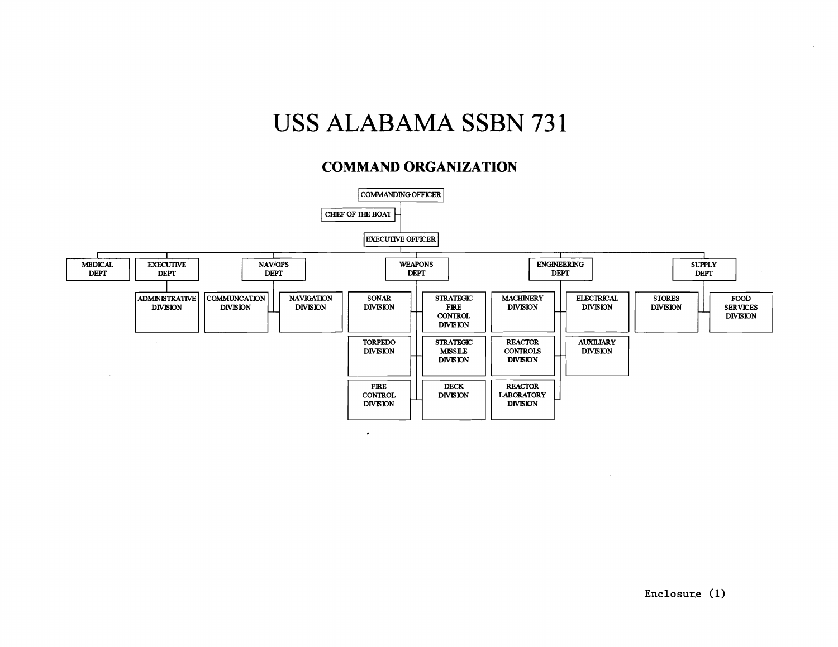# USS **ALABAMA** SSBN 73 1

## **COMMAND ORGANIZATION**



**Enclosure** (1)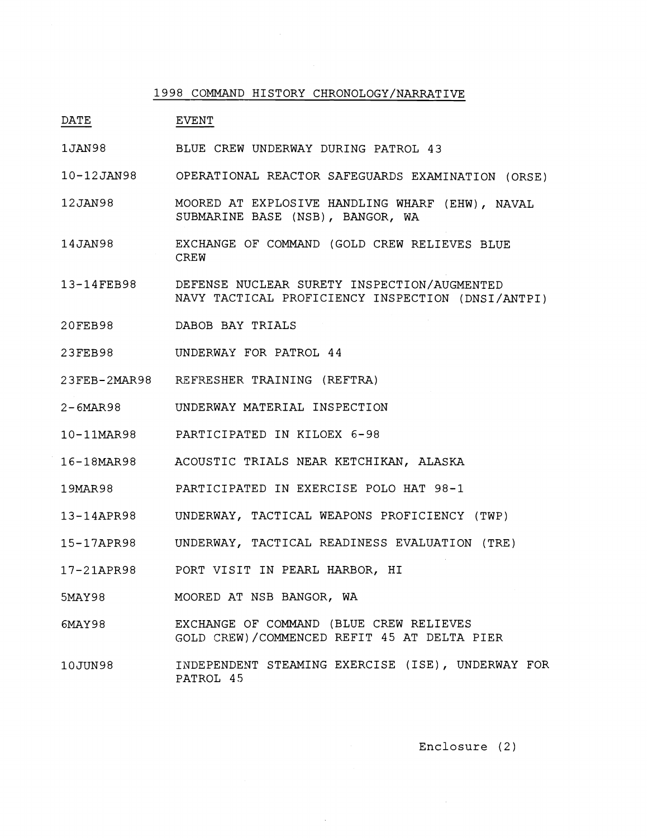#### 1998 COMMAND HISTORY CHRONOLOGY/NARRATIVE

DATE EVENT

- 1JAN98 BLUE CREW UNDERWAY DURING PATROL 43
- 10-12 JAN98 OPERATIONAL REACTOR SAFEGUARDS EXAMINATION (ORSE)
- 12JAN98 MOORED AT EXPLOSIVE HANDLING WHARF (EHW), NAVAL SUBMARINE BASE (NSB), BANGOR, WA
- 14JAN98 EXCHANGE OF COMMAND (GOLD CREW RELIEVES BLUE CREW
- 13-14FEB98 DEFENSE NUCLEAR SURETY INSPECTION/AUGMENTED NAVY TACTICAL PROFICIENCY INSPECTION (DNSI/ANTPI)
- 20FEB98 DABOB BAY TRIALS
- 23FEB98 UNDERWAY FOR PATROL 44
- 23FEB-2MAR98 REFRESHER TRAINING (REFTRA)
- 2-6MAR98 UNDERWAY MATERIAL INSPECTION
- 10-11MAR98 PARTICIPATED IN KILOEX 6-98
- 16-18MAR98 ACOUSTIC TRIALS NEAR KETCHIKAN, ALASKA
- 19MAR98 PARTICIPATED IN EXERCISE POLO HAT 98-1
- 13-14APR98 UNDERWAY, TACTICAL WEAPONS PROFICIENCY (TWP)
- 15-17APR98 UNDERWAY, TACTICAL READINESS EVALUATION (TRE)
- 17-21APR98 PORT VISIT IN PEARL HARBOR, HI
- 5MAY98 MOORED AT NSB BANGOR, WA
- 6MAY 9 8 EXCHANGE OF COMMAND (BLUE CREW RELIEVES GOLD CKEW)/COMMENCED REFIT 45 AT DELTA PIER
- 10JUN98 INDEPENDENT STEAMING EXERCISE (ISE), UNDERWAY FOR PATROL 45

Enclosure (2)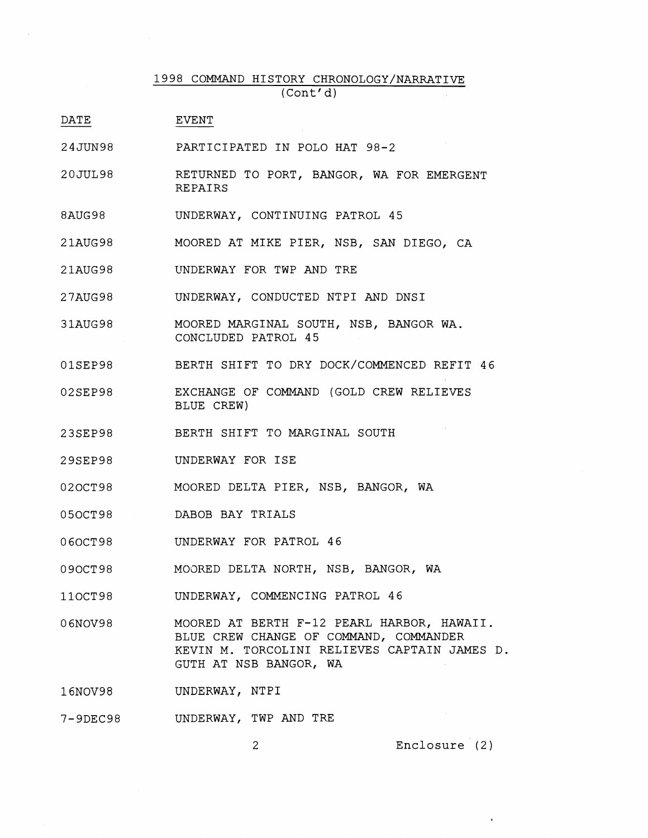## 1998 COMMAND HISTORY CHRONOLOGY/NARRATIVE (Cont' **d)**

- DATE EVENT
- 24JUN98 PARTICIPATED IN POLO HAT 98-2
- 20JUL98 RETURNED TO PORT, BANGOR, WA FOR EMERGENT **REPAIRS**
- 8AUG98 UNDERWAY, CONTINUING PATROL 45
- 21AUG98 MOORED AT MIKE PIER, NSB, SAN DIEGO, CA
- UNDERWAY FOR TWP AND TRE 21AUG98
- 27AUG98 UNDERWAY, CONDUCTED NTPI AND DNSI
- 31AUG98 MOORED MARGINAL SOUTH, NSB, BANGOR WA. CONCLUDED PATROL 45
- BERTH SHIFT TO DRY DOCK/COMMENCED REFIT 46 01SEP98
- 02SEP98 EXCHANGE OF COMMAND (GOLD CREW RELIEVES BLUE CREW)
- BERTH SHIFT TO MARGINAL SOUTH 23SEP98
- UNDERWAY FOR ISE 29SEP98
- 02OCT98 MOORED DELTA PIER, NSB, BANGOR, WA
- 05OCT98 DABOB BAY TRIALS
- UNDERWAY FOR PATROL 46 060CT98
- 090CT98 M03RED DELTA NORTH, NSB, BANGOR, WA
- 110CT98 UNDERWAY, COMMENCING PATROL 46
- 06NOV98 MOORED AT BERTH F-12 PEARL HARBOR, HAWAII. BLUE CREW CHANGE OF COMMAND, COMMANDER KEVIN M. TORCOLINI RELIEVES CAPTAIN JAMES D. GUTH AT NSB BANGOR, WA

16NOV98 UNDERWAY, NTPI

7-9DEC98 UNDERWAY, TWP AND TRE

Enclosure (2)